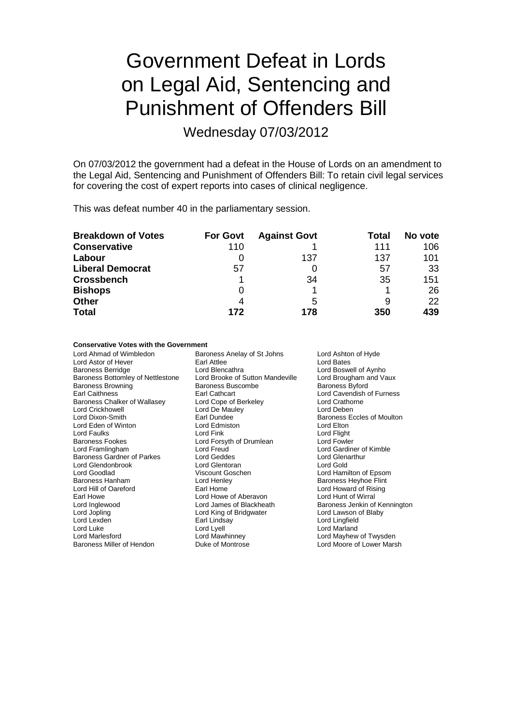## Government Defeat in Lords on Legal Aid, Sentencing and Punishment of Offenders Bill

Wednesday 07/03/2012

On 07/03/2012 the government had a defeat in the House of Lords on an amendment to the Legal Aid, Sentencing and Punishment of Offenders Bill: To retain civil legal services for covering the cost of expert reports into cases of clinical negligence.

This was defeat number 40 in the parliamentary session.

| <b>Breakdown of Votes</b> | <b>For Govt</b> | <b>Against Govt</b> | Total | No vote |
|---------------------------|-----------------|---------------------|-------|---------|
| <b>Conservative</b>       | 110             |                     | 111   | 106     |
| Labour                    |                 | 137                 | 137   | 101     |
| <b>Liberal Democrat</b>   | 57              |                     | 57    | 33      |
| <b>Crossbench</b>         |                 | 34                  | 35    | 151     |
| <b>Bishops</b>            | O               |                     |       | 26      |
| <b>Other</b>              | 4               | 5                   | 9     | 22      |
| <b>Total</b>              | 172             | 178                 | 350   | 439     |

## **Conservative Votes with the Government<br>Lord Ahmad of Wimbledon Bard**

Lord Astor of Hever Earl Attlee<br>
Baroness Berridge 
Baroness Berridge

Lord Blencathra Baroness Bottomley of Nettlestone Baroness Browning Baroness Buscombe Baroness Byford Baroness Chalker of Wallasey Lord Cope of Berkeley Lord Crathorness Chalker of Wallasey Lord Crathorness Chalchen<br>
Lord Crickhowell Cord Deben Lord Crickhowell Lord De Mauley<br>
Lord Dixon-Smith Lord Earl Dundee Lord Eden of Winton Lord Edmiston Lord Elton Lord Faulks Lord Fine Lord Fink Lord Funch Cord Flight<br>Baroness Fookes Cord Form Lord Forsyth of Drumlean Lord Fowler Baroness Fookes **Lord Forsyth of Drumlean**<br>
Lord Framlingham **Lord Freud** Baroness Gardner of Parkes Lord Geddes Lord General Lord General Lord General Lord Glenarthur Lord General Lord G<br>Lord Glendon Lord General Lord General Lord General Lord General Lord General Lord General Lord General Lord Lord Glendonbrook Lord Goodlad Viscount Goschen Lord Hamilton of Epsom Baroness Hanham Lord Henley Baroness Heyhoe Flint Lord Hill of Oareford **Earl Home**<br>
Earl Howard of Aberavon<br>
Earl Howe of Aberavon<br>
Lord Hunt of Wirral Earl Howe **Carl Howe Lord Howe of Aberavon**<br>
Lord Inglewood **Carl Cord Lord James of Blackheath** Lord Inglewood **Lord James of Blackheath** Baroness Jenkin of Kennington<br>
Lord Jopling **Browner Lord Action** Lord Cord Lawson of Blaby Lord Jopling Lord King of Bridgwater<br>
Lord Lexden Lord Earl Lindsay Lord Luke Lord Cord Lord Lord Lord Lord Marland<br>
Lord Marlesford Cord Marchinney Lord Marlesford Lord Mayhew Lord Marlesford Lord Mawhinney Lord Mayhew of Twysden

Baroness Anelay of St Johns Lord Ashton of Hyde<br>Earl Attlee Lord Bates Lord Blencathra<br>
Lord Brooke of Sutton Mandeville Lord Brougham and Vaux Earl Cathcart **Earl Cathcart Cathcart Lord Cavendish of Furness**<br>
Lord Cathorne<br>
Lord Crathorne Earl Dundee **Baroness Eccles of Moulton**<br>
Lord Edmiston **Baroness Eccles of Moulton** Lord Freud Lord Gardiner of Kimble<br>
Lord Geddes<br>
Lord Glenarthur

Lord Lingfield Lord Moore of Lower Marsh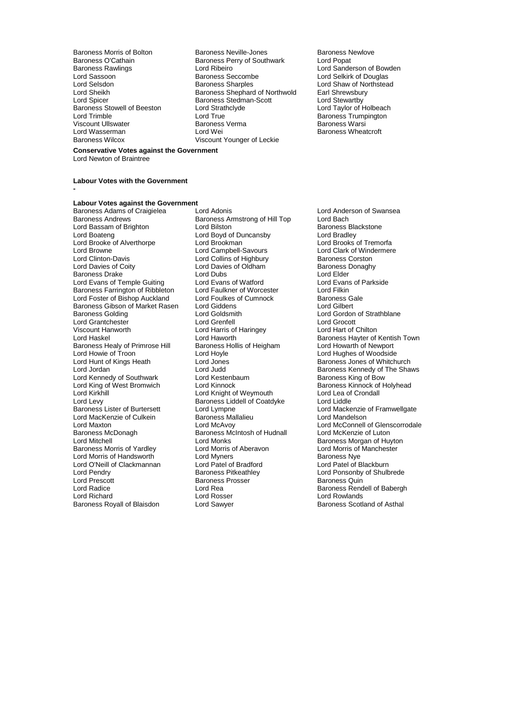Baroness Stowell of Beeston Lord Strathclark<br>
Lord Trimble<br>
Lord True Viscount Ullswater **Baroness**<br>
Baroness I ord Wasserman<br>
Baroness Warshiness Warshiness Warshiness I ord Wei

Baroness Morris of Bolton **Baroness Neville-Jones** Baroness Newlove<br>Baroness O'Cathain **Baroness Perry of Southwark** Lord Popat Baroness O'Cathain **Baroness Perry of Southwark**<br>Baroness Rawlings **Baroness Lord Ribeiro** Baroness Rawlings **Lord Ribeiro** Lord Ribeiro **Lord Sanderson of Bowden**<br>
Lord Sassoon **Lord Sexual Sanders** Baroness Seccombe **Lord Selkirk of Douglas** Lord Sassoon **Example 3 Section** Baroness Seccombe Lord Selkirk of Douglas<br>
Baroness Sharples
Lord Selsdon<br>
Lord Shaw of Northstea Lord Selsdon **Baroness Sharples** Lord Shaw of Northstead<br>
Lord Sheikh Baroness Shephard of Northwold Earl Shrewsbury Lord Sheikh **Baroness Shephard of Northwold** Earl Shrewsbur<br>
Lord Spicer **Baroness Stedman-Scott** Lord Stewartby Externess Stedman-Scott<br>
Lord Strathclyde<br>
Lord Taylor of Holbeach<br>
Lord Taylor of Holbeach Lord True **Communist Communist Communist Communist Communist Communist Communist Communist Communist Communist Communist Communist Communist Communist Communist Communist Communist Communist Communist Communist Communist C** Lord Wasserman Lord Wei Baroness Wheatcroft<br>Baroness Wilcox Wiscount Younger of Leckie Viscount Younger of Leckie

#### **Conservative Votes against the Government** Lord Newton of Braintree

**-**

#### **Labour Votes with the Government**

## **Labour Votes against the Government**

Lord Bassam of Brighton Lord Bilston Cord Baroness Blackstone<br>
Lord Boyd of Duncansby Lord Bradley<br>
Lord Brooke of Alverthorpe Lord Brookman Lord Brooks of Tremorfa Lord Boateng Lord Boyd of Duncansby Lord Bradley Lord Brooke of Alverthorpe Lord Brookman Lord Brooks of Tremorfa Lord Browne **Lord Campbell-Savours** Lord Clark of Windermere<br>
Lord Clinton-Davis **Lord Collins of Highbury** Baroness Corston Lord Clinton-Davis **Lord Collins of Highbury** Baroness Corston<br>
Lord Davies of Collection Lord Davies of Oldham<br>
Baroness Donaghy Baroness Drake Lord Dubs Lord Elder Lord Evans of Temple Guiting Lord Evans of Watford Lord Evans Lord Evans Communist Cord Evans Cord Eilkin<br>
Lord Example 2001 Lord Englished Lord Englished Cord Eilkin Baroness Farrington of Ribbleton Lord Faulkner of Worcester The Lord Filkin<br>Lord Foster of Bishop Auckland Lord Foulkes of Cumnock The Baroness Gale Lord Foster of Bishop Auckland Lord Foulkes of Cumnock Baroness G<br>Baroness Gibson of Market Rasen Lord Giddens Lord Gilbert Baroness Gibson of Market Rasen Lord Giddens<br>Baroness Golding Lord Goldsmith Lord Grantchester Lord Grenfell Lord Grocott Viscount Hanworth **Lord Harris of Haringey**<br>
Lord Haskel **Lord Haworth** Baroness Healy of Primrose Hill Baroness Hollis Caroness Hollis Cord Hoyle Lord Howie of Troon Lord Hoyle Lord Hoyle Lord Hughes of Woodside<br>
Lord Hunt of Kings Heath Lord Jones Cord Jones Baroness Jones of Whitch Lord Hunt of Kings Heath Lord Jones Cord Jones Baroness Jones of Whitchurch<br>
Lord Jordan Lord Judd Baroness Kennedy of The Shar Lord Kennedy of Southwark Lord Kestenbaum Baroness King of West Bromwich Lord Kinnock Lord King of West Bromwich Lord Kinnock Cord Kinnock Baroness Kinnock of Holyhead<br>
Lord Kirkhill Cord Kinght of Weymouth Lord Lea of Crondall Lord Kirkhill Lord Knight of Weymouth Lord Lea of Lord Lea of Lord Lea of Corol Lord Lea of Crondalla Baroness Liddell of Coatdyke Lord Levy Baroness Liddell of Coatdyke<br>
Baroness Lister of Burtersett Lord Lympne Lord MacKenzie of Culkein Baroness Ma<br>Lord Maxton Baroness Mandelson Lord Maxton Lord McAvoy Lord McAvoy Lord McConnell of Glenscorrodale<br>
Baroness McDonagh Baroness McIntosh of Hudnall Lord McKenzie of Luton Baroness McDonagh Baroness McIntosh of Hudnall<br>
Lord Mitchell<br>
Lord Monks Baroness Morris of Yardley **Lord Morris of Aberavon** Lord Morris of Lord Morris of Lord Morris of Lord Myners Cord Myners Lord Morris of Handsworth **Example 2** Lord Myners **Baroness Nye Lord C'Neill of Clackburn**<br>
Lord O'Neill of Clackmannan Lord Patel of Bradford **Corporation Lord Patel of Blackburn** Lord O'Neill of Clackmannan Lord Patel of Bradford<br>
Lord Pendry Clackmannan Baroness Pitkeathley Lord Pendry **Communist Communist Baroness Pitkeathley** March 2012 Lord Ponsonby of Shulbrede<br>
Lord Prescott **Communist Baroness Prosser Communist Baroness Quin** Lord Prescott Baroness Prosser Baroness Quin Lord Radice Lord Rea Baroness Rendell of Babergh Lord Richard **Communist Communist Communist Communist Communist Communist Communist Communist Communist Communist Communist Communist Communist Communist Communist Communist Communist Communist Communist Communist Communis** 

Baroness Adams of Craigielea Lord Adonis<br>
Baroness Andrews Baroness Amstrong of Hill Top Lord Bach<br>
Baroness Andrews Baroness Amstrong of Hill Top Lord Bach Baroness Armstrong of Hill Top Lord Bach<br>Lord Bilston Lord Baroness Blackstone Lord Davies of Oldham Baroness I<br>
Lord Dubs<br>
Lord Elder Lord Goldsmith **Example 2** Lord Gordon of Strathblane<br>
Lord Greenfell<br>
Lord Grocott Lord Monks<br>
Lord Monris of Aberavon<br>
Lord Morris of Manchester

Lord Haworth **Example Server Accept Lord Haworth Baroness Hayter of Kentish Town**<br>Baroness Hollis of Heigham **Baroness Hollis Lord Howarth of Newport** Lord Judd<br>
Lord Kestenbaum<br>
Lord Kestenbaum<br>
Baroness King of Bow Lord Lympne<br>
Baroness Mallalieu<br>
Lord Mandelson<br>
Lord Mandelson Baroness Scotland of Asthal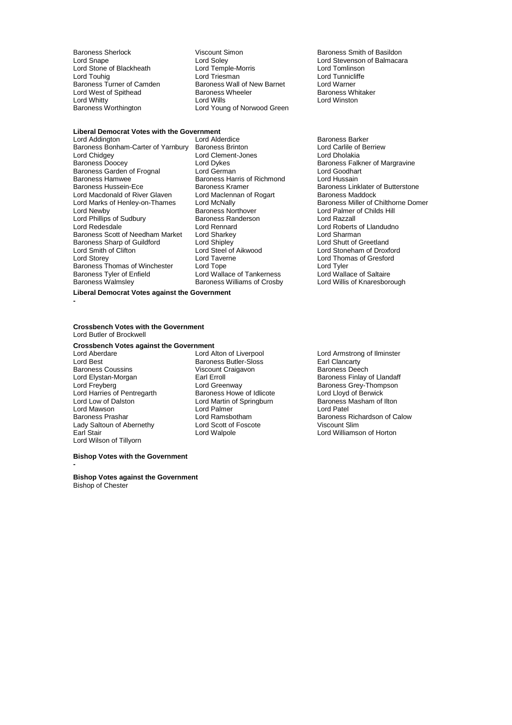Lord Stone of Blackheath Lord Temple-M<br>
Lord Touhig Cord Triesman Lord Whitty<br>Baroness Worthington

Baroness Sherlock **Viscount Simon** Baroness Smith of Basildon<br>
Lord Snape **Baroness** Cord Soley **Baroness** Cord Stevenson of Balmaca Lord Soley **Lord Stevenson of Balmacara**<br>
Lord Temple-Morris **Lord Tomlinson** Lord Triesman **Lord Tunnicliffe**<br> **Baroness Wall of New Barnet** 
Lord Warner Baroness Turner of Camden Baroness Wall of New Barnet Lord Warner<br>
Lord West of Spithead Baroness Wheeler Baroness Whitaker Lord West of Spithead Baroness Wheeler Baroness Wheeler Baroness Wheeler Baroness Wheeler Baroness White Baroness White Baroness White Baroness White Baroness White Baroness White Baroness White Baroness White Baroness Whi Lord Young of Norwood Green

## **Liberal Democrat Votes with the Government**

Baroness Bonham-Carter of Yarnbury Baroness Brinton **Lord Carlile of Lord Carlile of Lord Carlile of Accept** Lord Clement-Jones Lord Cholakia Lord Chidgey Lord Clement-Jones<br>
Baroness Doocey Lord Dykes Baroness Garden of Frognal Lord German Lord Goodhart Cord Goodhart Cord Goodhart Cord Goodhart Baroness Harris of Richmond Lord Hussain Baroness Hamwee **Baroness Harris of Richmond**<br>Baroness Hussein-Ece **Baroness Harris of Richmond** Lord Marks of Henley-on-Thames Lord McNally<br>Lord Newby Baroness Northover Lord Phillips of Sudbury **Baroness Randers**<br>
Lord Redesdale **Lord Rennard** Baroness Scott of Needham Market Lord Sharkey **Lord Sharman**<br>Baroness Sharp of Guildford Lord Sharkey Lord Shing Lord Shutt of Greetland Baroness Sharp of Guildford Lord Shipley<br>
Lord Smith of Clifton Lord Steel of Aikwood Lord Storey Lord Taverne Lord Thomas of Gresford Baroness Thomas of Winchester Lord Tope Lord Tyler Baroness Tyler of Enfield Lord Wallace of Tankerness Lord Wallace of Saltaire<br>Baroness Walmsley Baroness Williams of Crosby Lord Willis of Knaresborough

Baroness Northover **Lord Palmer of Childs Hill**<br>
Baroness Randerson<br>
Lord Razzall Lord Rennard Lord Roberts of Llandudno<br>
Lord Sharkey Lord Sharman Lord Steel of Aikwood Lord Stoneham of Droxford<br>
Lord Taverne Lord Thomas of Gresford Baroness Williams of Crosby

Baroness Barker<br>Lord Carlile of Berriew Lord Dykes Baroness Falkner of Margravine<br>
Lord German **Baroness Falkner of Margravine** Baroness Kramer **Baroness Linklater of Butterstone**<br> **Ecord Maclennan of Rogart** Baroness Maddock Lord Macdonald of River Glaven Lord Maclennan of Rogart Baroness Maddock<br>
Lord Marks of Henley-on-Thames Lord McNally Corp Baroness Miller of Chilthorne Domer

**Liberal Democrat Votes against the Government**

#### **Crossbench Votes with the Government** Lord Butler of Brockwell

## **Crossbench Votes against the Government**

Lord Best **Baroness Butler-Sloss** Earl Clancarty<br>
Baroness Coussins **Earl Clancarty**<br>
Viscount Craigavon **Earl Baroness Deech** Baroness Coussins **Baroness Coussins** Viscount Craigavon<br> **Baroness Lord Elystan-Morgan** Lord Elystan-Morgan Earl Erroll Baroness Finlay of Llandaff Lord Freyberg Thompson<br>
Lord Harries of Pentregarth Baroness Howe of Idlicote Lord Lloyd of Berwick Lord Harries of Pentregarth Baroness Howe of Idlicote Lord Lloyd of Berwick<br>
Lord Low of Dalston Lord Martin of Springburn Baroness Masham of Ilton Lord Mawson **Lord Palmer**<br> **Baroness Prashar Lord Ramsbotham** Lady Saltoun of Abernethy Lord Scott of I<br>
Earl Stair Cord Walpole Lord Wilson of Tillyorn

Lord Martin of Springburn Baroness I<br>
Lord Palmer Baroness Lord Patel

# Lord Aberdare <sup>Lord</sup> Lord Alton of Liverpool **Lord Armstrong of Ilminster**<br>
Lord Best **Lord Best** Baroness Butler-Sloss **Larl Clancarty** Lord Ramsbotham **Baroness Richardson of Calow**<br>
Lord Scott of Foscote **Baroness Richardson of Calow** Lord Williamson of Horton

#### **Bishop Votes with the Government**

**-**

**-**

**Bishop Votes against the Government** Bishop of Chester